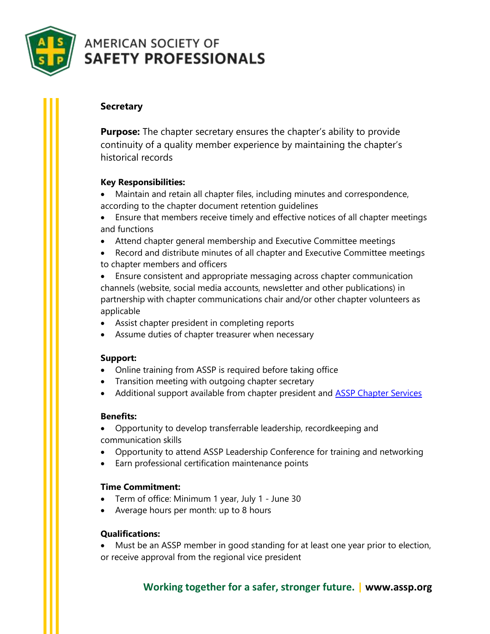

# **AMERICAN SOCIETY OF SAFETY PROFESSIONALS**

# **Secretary**

**Purpose:** The chapter secretary ensures the chapter's ability to provide continuity of a quality member experience by maintaining the chapter's historical records

## **Key Responsibilities:**

- Maintain and retain all chapter files, including minutes and correspondence, according to the chapter document retention guidelines
- Ensure that members receive timely and effective notices of all chapter meetings and functions
- Attend chapter general membership and Executive Committee meetings
- Record and distribute minutes of all chapter and Executive Committee meetings to chapter members and officers
- Ensure consistent and appropriate messaging across chapter communication channels (website, social media accounts, newsletter and other publications) in partnership with chapter communications chair and/or other chapter volunteers as applicable
- Assist chapter president in completing reports
- Assume duties of chapter treasurer when necessary

#### **Support:**

- Online training from ASSP is required before taking office
- Transition meeting with outgoing chapter secretary
- Additional support available from chapter president and **ASSP Chapter Services**

#### **Benefits:**

- Opportunity to develop transferrable leadership, recordkeeping and communication skills
- Opportunity to attend ASSP Leadership Conference for training and networking
- Earn professional certification maintenance points

#### **Time Commitment:**

- Term of office: Minimum 1 year, July 1 June 30
- Average hours per month: up to 8 hours

#### **Qualifications:**

Must be an ASSP member in good standing for at least one year prior to election, or receive approval from the regional vice president